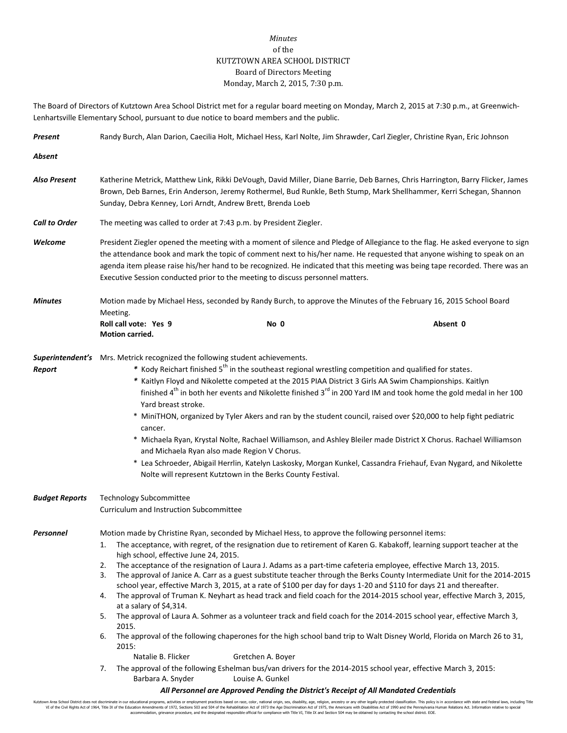## *Minutes* of the KUTZTOWN AREA SCHOOL DISTRICT Board of Directors Meeting Monday, March 2, 2015, 7:30 p.m.

The Board of Directors of Kutztown Area School District met for a regular board meeting on Monday, March 2, 2015 at 7:30 p.m., at Greenwich-Lenhartsville Elementary School, pursuant to due notice to board members and the public.

| Present                                                                               |                                                                                                                                                                                                                                                                                                                                                                                                                                                                                                                                                                                                                                                                                                                                                                                                                                                                                                                                                                            | Randy Burch, Alan Darion, Caecilia Holt, Michael Hess, Karl Nolte, Jim Shrawder, Carl Ziegler, Christine Ryan, Eric Johnson                                                                                                                                                                                                                                                                                                                                                                                                                                                                                                                                                                                                                                                                                                                                                                                                                                                                                                                                                                                                                       |          |  |  |  |  |
|---------------------------------------------------------------------------------------|----------------------------------------------------------------------------------------------------------------------------------------------------------------------------------------------------------------------------------------------------------------------------------------------------------------------------------------------------------------------------------------------------------------------------------------------------------------------------------------------------------------------------------------------------------------------------------------------------------------------------------------------------------------------------------------------------------------------------------------------------------------------------------------------------------------------------------------------------------------------------------------------------------------------------------------------------------------------------|---------------------------------------------------------------------------------------------------------------------------------------------------------------------------------------------------------------------------------------------------------------------------------------------------------------------------------------------------------------------------------------------------------------------------------------------------------------------------------------------------------------------------------------------------------------------------------------------------------------------------------------------------------------------------------------------------------------------------------------------------------------------------------------------------------------------------------------------------------------------------------------------------------------------------------------------------------------------------------------------------------------------------------------------------------------------------------------------------------------------------------------------------|----------|--|--|--|--|
| Absent                                                                                |                                                                                                                                                                                                                                                                                                                                                                                                                                                                                                                                                                                                                                                                                                                                                                                                                                                                                                                                                                            |                                                                                                                                                                                                                                                                                                                                                                                                                                                                                                                                                                                                                                                                                                                                                                                                                                                                                                                                                                                                                                                                                                                                                   |          |  |  |  |  |
| <b>Also Present</b>                                                                   | Katherine Metrick, Matthew Link, Rikki DeVough, David Miller, Diane Barrie, Deb Barnes, Chris Harrington, Barry Flicker, James<br>Brown, Deb Barnes, Erin Anderson, Jeremy Rothermel, Bud Runkle, Beth Stump, Mark Shellhammer, Kerri Schegan, Shannon<br>Sunday, Debra Kenney, Lori Arndt, Andrew Brett, Brenda Loeb                                                                                                                                                                                                                                                                                                                                                                                                                                                                                                                                                                                                                                                      |                                                                                                                                                                                                                                                                                                                                                                                                                                                                                                                                                                                                                                                                                                                                                                                                                                                                                                                                                                                                                                                                                                                                                   |          |  |  |  |  |
| <b>Call to Order</b>                                                                  | The meeting was called to order at 7:43 p.m. by President Ziegler.                                                                                                                                                                                                                                                                                                                                                                                                                                                                                                                                                                                                                                                                                                                                                                                                                                                                                                         |                                                                                                                                                                                                                                                                                                                                                                                                                                                                                                                                                                                                                                                                                                                                                                                                                                                                                                                                                                                                                                                                                                                                                   |          |  |  |  |  |
| Welcome                                                                               | President Ziegler opened the meeting with a moment of silence and Pledge of Allegiance to the flag. He asked everyone to sign<br>the attendance book and mark the topic of comment next to his/her name. He requested that anyone wishing to speak on an<br>agenda item please raise his/her hand to be recognized. He indicated that this meeting was being tape recorded. There was an<br>Executive Session conducted prior to the meeting to discuss personnel matters.                                                                                                                                                                                                                                                                                                                                                                                                                                                                                                 |                                                                                                                                                                                                                                                                                                                                                                                                                                                                                                                                                                                                                                                                                                                                                                                                                                                                                                                                                                                                                                                                                                                                                   |          |  |  |  |  |
| <b>Minutes</b>                                                                        | Motion made by Michael Hess, seconded by Randy Burch, to approve the Minutes of the February 16, 2015 School Board<br>Meeting.                                                                                                                                                                                                                                                                                                                                                                                                                                                                                                                                                                                                                                                                                                                                                                                                                                             |                                                                                                                                                                                                                                                                                                                                                                                                                                                                                                                                                                                                                                                                                                                                                                                                                                                                                                                                                                                                                                                                                                                                                   |          |  |  |  |  |
|                                                                                       | Roll call vote: Yes 9<br>Motion carried.                                                                                                                                                                                                                                                                                                                                                                                                                                                                                                                                                                                                                                                                                                                                                                                                                                                                                                                                   | No 0                                                                                                                                                                                                                                                                                                                                                                                                                                                                                                                                                                                                                                                                                                                                                                                                                                                                                                                                                                                                                                                                                                                                              | Absent 0 |  |  |  |  |
| Report                                                                                | Superintendent's Mrs. Metrick recognized the following student achievements.<br>* Kody Reichart finished 5 <sup>th</sup> in the southeast regional wrestling competition and qualified for states.<br>* Kaitlyn Floyd and Nikolette competed at the 2015 PIAA District 3 Girls AA Swim Championships. Kaitlyn<br>finished 4 <sup>th</sup> in both her events and Nikolette finished 3 <sup>rd</sup> in 200 Yard IM and took home the gold medal in her 100<br>Yard breast stroke.<br>* MiniTHON, organized by Tyler Akers and ran by the student council, raised over \$20,000 to help fight pediatric<br>cancer.<br>* Michaela Ryan, Krystal Nolte, Rachael Williamson, and Ashley Bleiler made District X Chorus. Rachael Williamson<br>and Michaela Ryan also made Region V Chorus.<br>* Lea Schroeder, Abigail Herrlin, Katelyn Laskosky, Morgan Kunkel, Cassandra Friehauf, Evan Nygard, and Nikolette<br>Nolte will represent Kutztown in the Berks County Festival. |                                                                                                                                                                                                                                                                                                                                                                                                                                                                                                                                                                                                                                                                                                                                                                                                                                                                                                                                                                                                                                                                                                                                                   |          |  |  |  |  |
| <b>Budget Reports</b>                                                                 | Technology Subcommittee<br>Curriculum and Instruction Subcommittee                                                                                                                                                                                                                                                                                                                                                                                                                                                                                                                                                                                                                                                                                                                                                                                                                                                                                                         |                                                                                                                                                                                                                                                                                                                                                                                                                                                                                                                                                                                                                                                                                                                                                                                                                                                                                                                                                                                                                                                                                                                                                   |          |  |  |  |  |
| Personnel                                                                             | high school, effective June 24, 2015.<br>2.<br>3.<br>4.<br>at a salary of \$4,314.<br>5.<br>2015.<br>6.<br>2015:<br>Natalie B. Flicker<br>7.<br>Barbara A. Snyder                                                                                                                                                                                                                                                                                                                                                                                                                                                                                                                                                                                                                                                                                                                                                                                                          | Motion made by Christine Ryan, seconded by Michael Hess, to approve the following personnel items:<br>The acceptance, with regret, of the resignation due to retirement of Karen G. Kabakoff, learning support teacher at the<br>The acceptance of the resignation of Laura J. Adams as a part-time cafeteria employee, effective March 13, 2015.<br>The approval of Janice A. Carr as a guest substitute teacher through the Berks County Intermediate Unit for the 2014-2015<br>school year, effective March 3, 2015, at a rate of \$100 per day for days 1-20 and \$110 for days 21 and thereafter.<br>The approval of Truman K. Neyhart as head track and field coach for the 2014-2015 school year, effective March 3, 2015,<br>The approval of Laura A. Sohmer as a volunteer track and field coach for the 2014-2015 school year, effective March 3,<br>The approval of the following chaperones for the high school band trip to Walt Disney World, Florida on March 26 to 31,<br>Gretchen A. Boyer<br>The approval of the following Eshelman bus/van drivers for the 2014-2015 school year, effective March 3, 2015:<br>Louise A. Gunkel |          |  |  |  |  |
| All Personnel are Approved Pending the District's Receipt of All Mandated Credentials |                                                                                                                                                                                                                                                                                                                                                                                                                                                                                                                                                                                                                                                                                                                                                                                                                                                                                                                                                                            |                                                                                                                                                                                                                                                                                                                                                                                                                                                                                                                                                                                                                                                                                                                                                                                                                                                                                                                                                                                                                                                                                                                                                   |          |  |  |  |  |

Kutztown Area School District does not discriminate in our educational programs, activities or employment practices based on race, color, national origin, sex, disability, age, religion, ancestry or any other legally prot